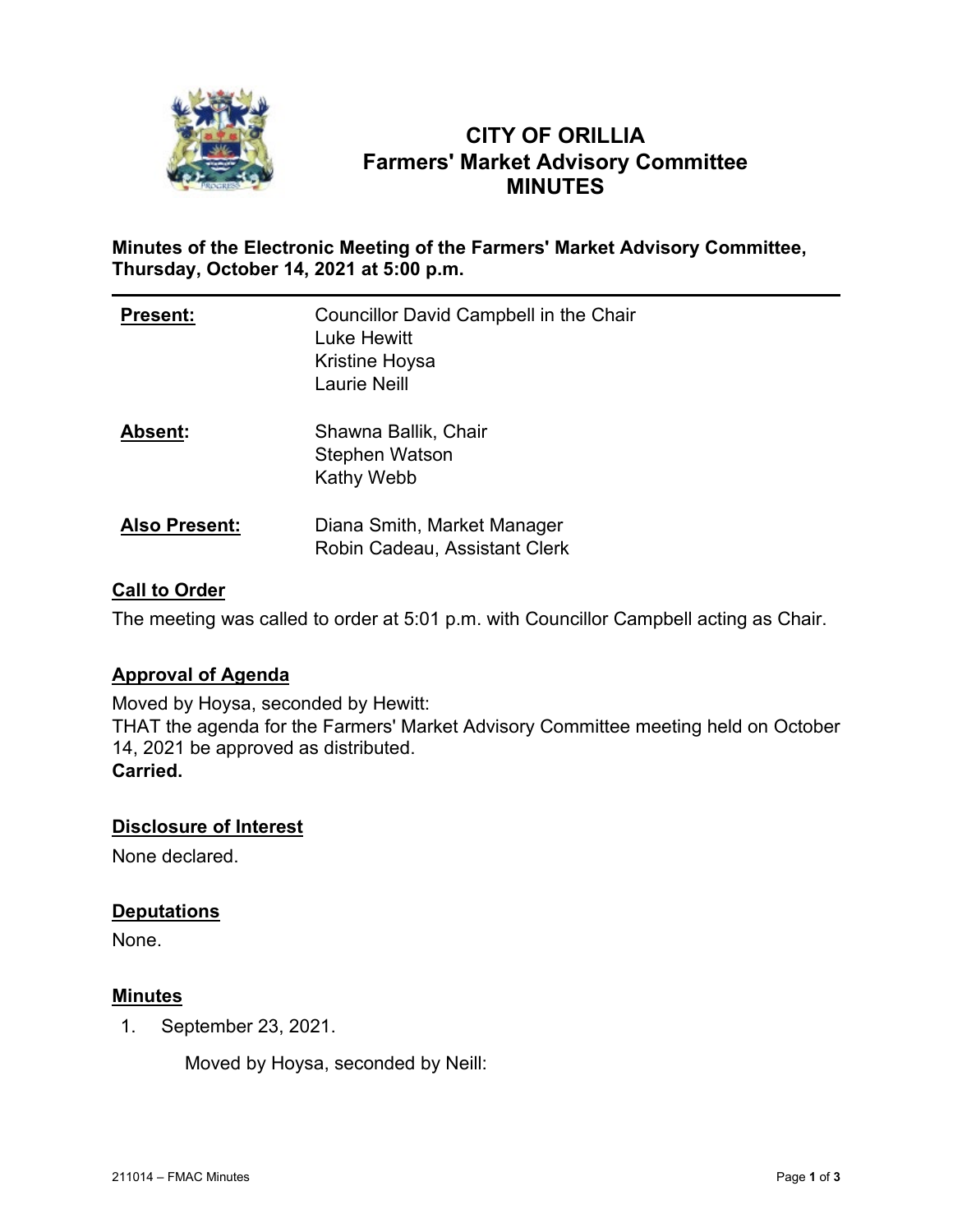

# **CITY OF ORILLIA Farmers' Market Advisory Committee MINUTES**

# **Minutes of the Electronic Meeting of the Farmers' Market Advisory Committee, Thursday, October 14, 2021 at 5:00 p.m.**

| <b>Present:</b>      | Councillor David Campbell in the Chair<br>Luke Hewitt<br>Kristine Hoysa<br><b>Laurie Neill</b> |
|----------------------|------------------------------------------------------------------------------------------------|
| <b>Absent:</b>       | Shawna Ballik, Chair<br>Stephen Watson<br><b>Kathy Webb</b>                                    |
| <b>Also Present:</b> | Diana Smith, Market Manager<br>Robin Cadeau, Assistant Clerk                                   |

# **Call to Order**

The meeting was called to order at 5:01 p.m. with Councillor Campbell acting as Chair.

# **Approval of Agenda**

Moved by Hoysa, seconded by Hewitt: THAT the agenda for the Farmers' Market Advisory Committee meeting held on October 14, 2021 be approved as distributed. **Carried.**

# **Disclosure of Interest**

None declared.

# **Deputations**

None.

# **Minutes**

1. September 23, 2021.

Moved by Hoysa, seconded by Neill: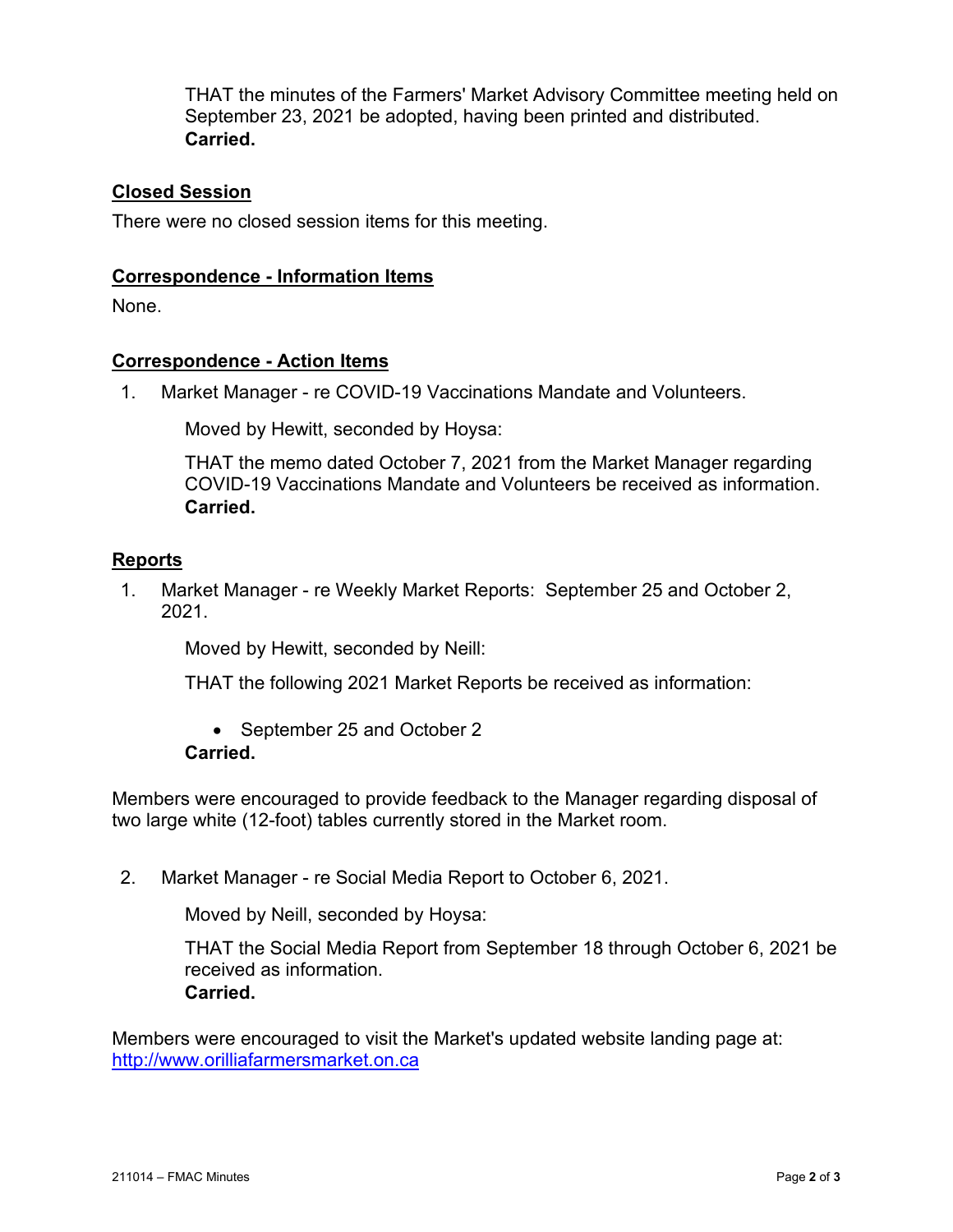THAT the minutes of the Farmers' Market Advisory Committee meeting held on September 23, 2021 be adopted, having been printed and distributed. **Carried.**

# **Closed Session**

There were no closed session items for this meeting.

#### **Correspondence - Information Items**

None.

#### **Correspondence - Action Items**

1. Market Manager - re COVID-19 Vaccinations Mandate and Volunteers.

Moved by Hewitt, seconded by Hoysa:

THAT the memo dated October 7, 2021 from the Market Manager regarding COVID-19 Vaccinations Mandate and Volunteers be received as information. **Carried.**

# **Reports**

1. Market Manager - re Weekly Market Reports: September 25 and October 2, 2021.

Moved by Hewitt, seconded by Neill:

THAT the following 2021 Market Reports be received as information:

• September 25 and October 2 **Carried.**

Members were encouraged to provide feedback to the Manager regarding disposal of two large white (12-foot) tables currently stored in the Market room.

2. Market Manager - re Social Media Report to October 6, 2021.

Moved by Neill, seconded by Hoysa:

THAT the Social Media Report from September 18 through October 6, 2021 be received as information. **Carried.**

Members were encouraged to visit the Market's updated website landing page at: [http://www.orilliafarmersmarket.on.ca](http://www.orilliafarmersmarket.on.ca/)